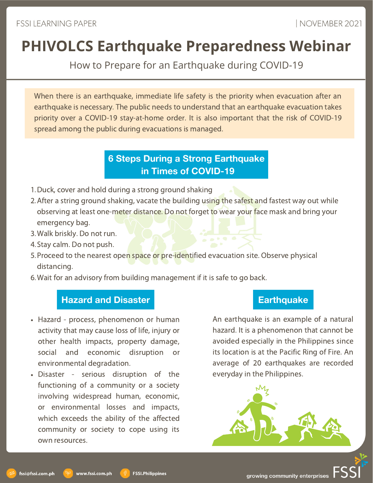How to Prepare for an Earthquake during COVID-19

When there is an earthquake, immediate life safety is the priority when evacuation after an earthquake is necessary. The public needs to understand that an earthquake evacuation takes priority over a COVID-19 stay-at-home order. It is also important that the risk of COVID-19 spread among the public during evacuations is managed.

## **6 Steps During a Strong Earthquake in Times of COVID-19**

- 1. Duck, cover and hold during a strong ground shaking
- 2. After a string ground shaking, vacate the building using the safest and fastest way out while observing at least one-meter distance. Do not forget to wear your face mask and bring your emergency bag.
- Walk briskly. Do not run. 3.
- 4. Stay calm. Do not push.
- 5. Proceed to the nearest open space or pre-identified evacuation site. Observe physical distancing.
- Wait for an advisory from building management if it is safe to go back. 6.

# **Hazard** and Disaster **Earthquake**

- Hazard process, phenomenon or human activity that may cause loss of life, injury or other health impacts, property damage, social and economic disruption or environmental degradation.
- Disaster serious disruption of the functioning of a community or a society involving widespread human, economic, or environmental losses and impacts, which exceeds the ability of the affected community or society to cope using its own resources.

www.fssi.com.ph

An earthquake is an example of a natural hazard. It is a phenomenon that cannot be avoided especially in the Philippines since its location is at the Pacific Ring of Fire. An average of 20 earthquakes are recorded everyday in the Philippines.



growing community enterprises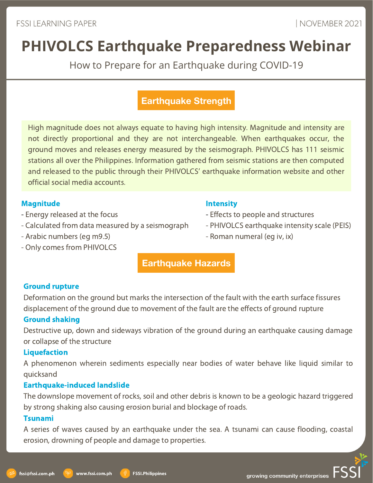How to Prepare for an Earthquake during COVID-19

## **Earthquake Strength**

High magnitude does not always equate to having high intensity. Magnitude and intensity are not directly proportional and they are not interchangeable. When earthquakes occur, the ground moves and releases energy measured by the seismograph. PHIVOLCS has 111 seismic stations all over the Philippines. Information gathered from seismic stations are then computed and released to the public through their PHIVOLCS' earthquake information website and other official social media accounts.

### Magnitude

- Energy released at the focus
- Calculated from data measured by a seismograph
- Arabic numbers (eg m9.5)
- Only comes from PHIVOLCS

### **Intensity**

- Effects to people and structures
- PHIVOLCS earthquake intensity scale (PEIS)
- Roman numeral (eg iv, ix)

### Ground rupture

Deformation on the ground but marks the intersection of the fault with the earth surface fissures displacement of the ground due to movement of the fault are the effects of ground rupture

**Earthquake Hazards**

### Ground shaking

Destructive up, down and sideways vibration of the ground during an earthquake causing damage or collapse of the structure

### Liquefaction

A phenomenon wherein sediments especially near bodies of water behave like liquid similar to quicksand

### Earthquake-induced landslide

www.fssi.com.ph

The downslope movement of rocks, soil and other debris is known to be a geologic hazard triggered by strong shaking also causing erosion burial and blockage of roads.

### Tsunami

fssi@fssi.com.ph

A series of waves caused by an earthquake under the sea. A tsunami can cause flooding, coastal erosion, drowning of people and damage to properties.

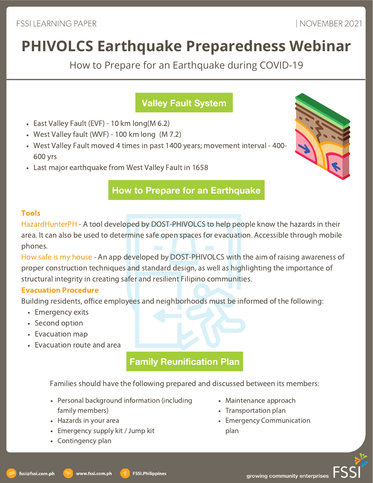How to Prepare for an Earthquake during COVID-19

# **Valley Fault System**

- East Valley Fault (EVF) 10 km long  $(M 6.2)$
- West Valley fault (WVF) 100 km long (M 7.2)
- West Valley Fault moved 4 times in past 1400 years; movement interval 400- 600 yrs
- Last major earthquake from West Valley Fault in 1658



### **How to Prepare for an Earthquake**

### Tools

HazardHunterPH - A tool developed by DOST-PHIVOLCS to help people know the hazards in their area. It can also be used to determine safe open spaces for evacuation. Accessible through mobile phones.

How safe is my house - An app developed by DOST-PHIVOLCS with the aim of raising awareness of proper construction techniques and standard design, as well as highlighting the importance of structural integrity in creating safer and resilient Filipino communities.

### Evacuation Procedure

Building residents, office employees and neighborhoods must be informed of the following:

- Emergency exits
- Second option
- Evacuation map
- Evacuation route and area

## **Family Reunification Plan**

Families should have the following prepared and discussed between its members:

- Personal background information (including family members)
- Hazards in your area
- Emergency supply kit / Jump kit

www.fssi.com.ph

Contingency plan

- Maintenance approach
- Transportation plan
- Emergency Communication plan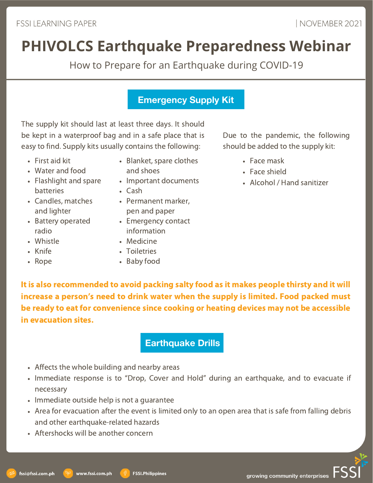How to Prepare for an Earthquake during COVID-19

### **Emergency Supply Kit**

The supply kit should last at least three days. It should be kept in a waterproof bag and in a safe place that is easy to find. Supply kits usually contains the following:

- First aid kit
- Water and food
- Flashlight and spare batteries
- Candles, matches and lighter
- Battery operated radio
- Whistle
- Knife
- Rope
- Blanket, spare clothes and shoes
- Important documents
- Cash
- Permanent marker, pen and paper
- Emergency contact information
- Medicine
- Toiletries
- Baby food

### Due to the pandemic, the following should be added to the supply kit:

- Face mask
- Face shield
- Alcohol / Hand sanitizer

It is also recommended to avoid packing salty food as it makes people thirsty and it will increase a person's need to drink water when the supply is limited. Food packed must be ready to eat for convenience since cooking or heating devices may not be accessible in evacuation sites.

## **Earthquake Drills**

- Affects the whole building and nearby areas
- Immediate response is to "Drop, Cover and Hold" during an earthquake, and to evacuate if necessary
- Immediate outside help is not a quarantee
- Area for evacuation after the event is limited only to an open area that is safe from falling debris and other earthquake-related hazards
- Aftershocks will be another concern

www.fssi.com.ph

growing community enterprises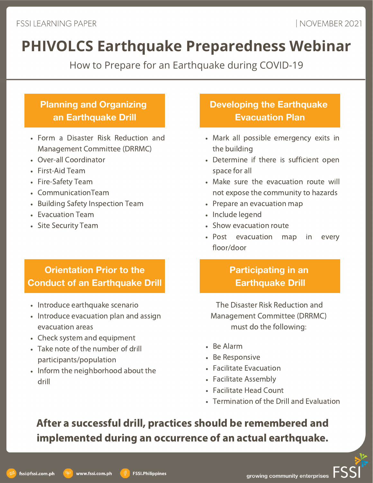How to Prepare for an Earthquake during COVID-19

# **Planning and Organizing an Earthquake Drill**

- Form a Disaster Risk Reduction and Management Committee (DRRMC)
- Over-all Coordinator
- First-Aid Team
- Fire-Safety Team
- CommunicationTeam
- Building Safety Inspection Team
- Evacuation Team
- Site Security Team

# **Orientation Prior to the Conduct of an Earthquake Drill**

- Introduce earthquake scenario
- Introduce evacuation plan and assign evacuation areas
- Check system and equipment
- Take note of the number of drill participants/population
- Inform the neighborhood about the drill

# **Developing the Earthquake Evacuation Plan**

- Mark all possible emergency exits in the building
- Determine if there is sufficient open space for all
- Make sure the evacuation route will not expose the community to hazards
- Prepare an evacuation map
- Include legend
- Show evacuation route
- Post evacuation map in every floor/door

# **Participating in an Earthquake Drill**

The Disaster Risk Reduction and Management Committee (DRRMC) must do the following:

- Be Alarm
- Be Responsive
- Facilitate Evacuation
- Facilitate Assembly
- Facilitate Head Count
- Termination of the Drill and Evaluation

# After a successful drill, practices should be remembered and implemented during an occurrence of an actual earthquake.

**FSSI.Philippines**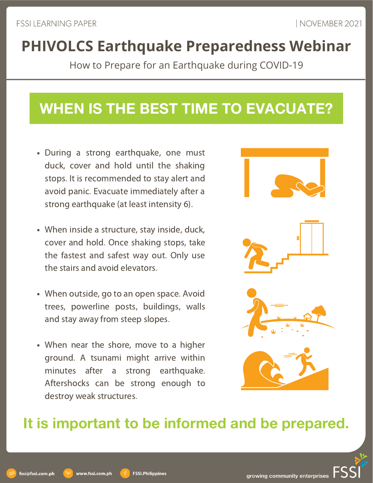How to Prepare for an Earthquake during COVID-19

# **WHEN IS THE BEST TIME TO EVACUATE?**

- During a strong earthquake, one must duck, cover and hold until the shaking stops. It is recommended to stay alert and avoid panic. Evacuate immediately after a strong earthquake (at least intensity 6).
- When inside a structure, stay inside, duck, cover and hold. Once shaking stops, take the fastest and safest way out. Only use the stairs and avoid elevators.
- When outside, go to an open space. Avoid trees, powerline posts, buildings, walls and stay away from steep slopes.
- When near the shore, move to a higher ground. A tsunami might arrive within minutes after a strong earthquake. Aftershocks can be strong enough to destroy weak structures.



# **It is important to be informed and be prepared.**

www.fssi.com.ph